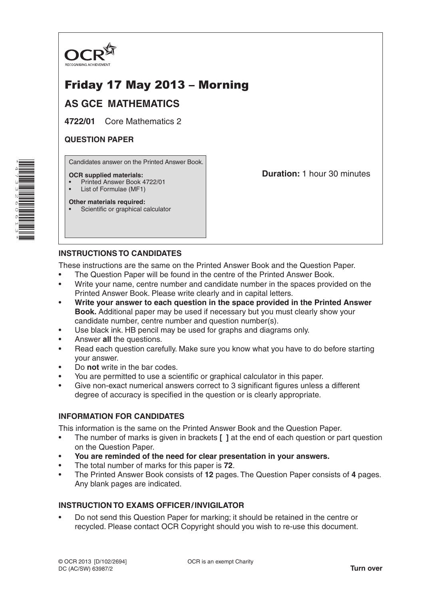

# Friday 17 May 2013 – Morning

## **AS GCE MATHEMATICS**

**4722/01** Core Mathematics 2

### **QUESTION PAPER**

Candidates answer on the Printed Answer Book.

#### **OCR supplied materials:**

- Printed Answer Book 4722/01
- List of Formulae (MF1)

**Other materials required:** Scientific or graphical calculator **Duration:** 1 hour 30 minutes

### **INSTRUCTIONS TO CANDIDATES**

These instructions are the same on the Printed Answer Book and the Question Paper.

- The Question Paper will be found in the centre of the Printed Answer Book.
- Write your name, centre number and candidate number in the spaces provided on the Printed Answer Book. Please write clearly and in capital letters.
- **Write your answer to each question in the space provided in the Printed Answer Book.** Additional paper may be used if necessary but you must clearly show your candidate number, centre number and question number(s).
- Use black ink. HB pencil may be used for graphs and diagrams only.
- Answer **all** the questions.
- Read each question carefully. Make sure you know what you have to do before starting your answer.
- Do **not** write in the bar codes.
- You are permitted to use a scientific or graphical calculator in this paper.
- Give non-exact numerical answers correct to 3 significant figures unless a different degree of accuracy is specified in the question or is clearly appropriate.

### **INFORMATION FOR CANDIDATES**

This information is the same on the Printed Answer Book and the Question Paper.

- The number of marks is given in brackets **[ ]** at the end of each question or part question on the Question Paper.
- **You are reminded of the need for clear presentation in your answers.**
- The total number of marks for this paper is **72**.
- The Printed Answer Book consists of **12** pages. The Question Paper consists of **4** pages. Any blank pages are indicated.

### **INSTRUCTION TO EXAMS OFFICER/INVIGILATOR**

• Do not send this Question Paper for marking; it should be retained in the centre or recycled. Please contact OCR Copyright should you wish to re-use this document.

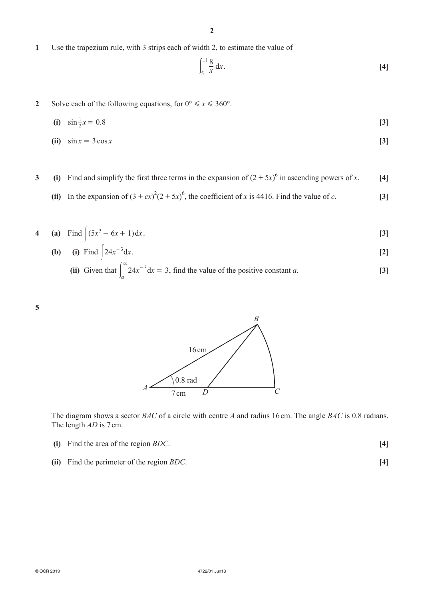**2**

**1**  Use the trapezium rule, with 3 strips each of width 2, to estimate the value of

$$
\int_{5}^{11} \frac{8}{x} \, \mathrm{d}x \,. \tag{4}
$$

**2** Solve each of the following equations, for  $0^\circ \le x \le 360^\circ$ .

(i) 
$$
\sin \frac{1}{2}x = 0.8
$$
 [3]

**(ii)**  $\sin x = 3 \cos x$  [3]

**3** (i) Find and simplify the first three terms in the expansion of  $(2 + 5x)^6$  in ascending powers of *x*. [4]

(ii) In the expansion of  $(3 + cx)^2(2 + 5x)^6$ , the coefficient of *x* is 4416. Find the value of *c*. [3]

4 (a) Find 
$$
|(5x^3 - 6x + 1)dx
$$
. [3]

**(b)** (i) Find  $\int 24x^{-3}dx$ . [2]

(ii) Given that 
$$
\int_{a}^{\infty} 24x^{-3} dx = 3
$$
, find the value of the positive constant *a*. [3]





The diagram shows a sector *BAC* of a circle with centre *A* and radius 16 cm. The angle *BAC* is 0.8 radians. The length *AD* is 7 cm.

- **(i)**  Find the area of the region *BDC*. **[4]**
- **(ii)** Find the perimeter of the region *BDC*. **[4]**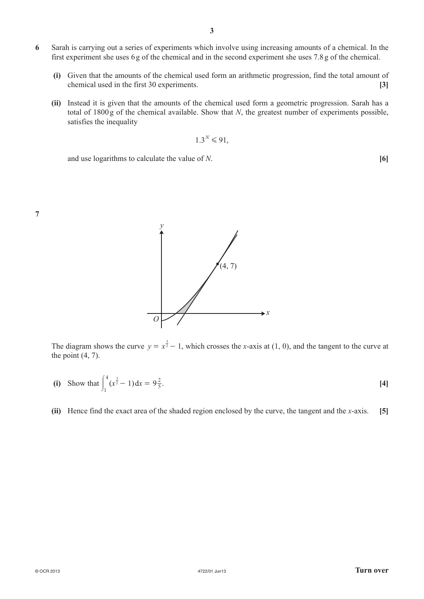- **6**  Sarah is carrying out a series of experiments which involve using increasing amounts of a chemical. In the first experiment she uses 6g of the chemical and in the second experiment she uses 7.8g of the chemical.
	- **(i)**  Given that the amounts of the chemical used form an arithmetic progression, find the total amount of chemical used in the first 30 experiments. **[3]**
	- **(ii)** Instead it is given that the amounts of the chemical used form a geometric progression. Sarah has a total of 1800g of the chemical available. Show that *N*, the greatest number of experiments possible, satisfies the inequality

$$
1.3^N \le 91,
$$

and use logarithms to calculate the value of *N*. **[6]**





The diagram shows the curve  $y = x^{\frac{3}{2}} - 1$ , which crosses the *x*-axis at (1, 0), and the tangent to the curve at the point  $(4, 7)$ .

(i) Show that 
$$
\int_{1}^{4} (x^{\frac{3}{2}} - 1) dx = 9\frac{2}{5}
$$
. [4]

**(ii)** Hence find the exact area of the shaded region enclosed by the curve, the tangent and the *x*-axis. **[5]**